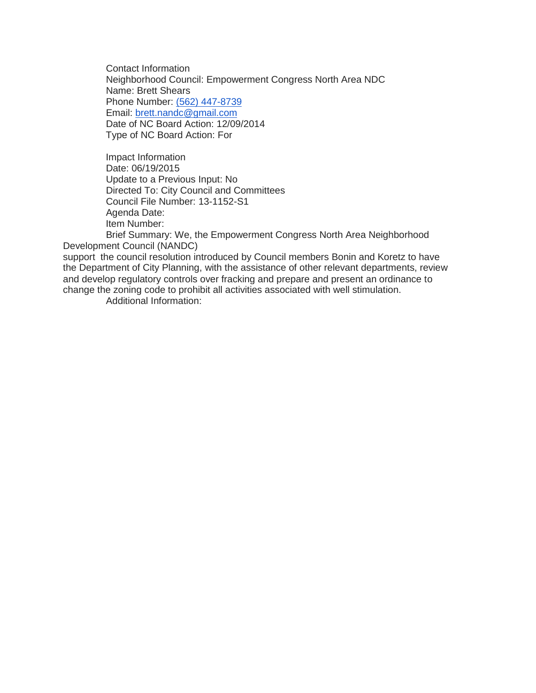Contact Information Neighborhood Council: Empowerment Congress North Area NDC Name: Brett Shears Phone Number: [\(562\) 447-8739](tel:%28562%29%20447-8739) Email: [brett.nandc@gmail.com](mailto:brett.nandc@gmail.com) Date of NC Board Action: 12/09/2014 Type of NC Board Action: For

Impact Information Date: 06/19/2015 Update to a Previous Input: No Directed To: City Council and Committees Council File Number: 13-1152-S1 Agenda Date: Item Number:

Brief Summary: We, the Empowerment Congress North Area Neighborhood Development Council (NANDC)

support the council resolution introduced by Council members Bonin and Koretz to have the Department of City Planning, with the assistance of other relevant departments, review and develop regulatory controls over fracking and prepare and present an ordinance to change the zoning code to prohibit all activities associated with well stimulation.

Additional Information: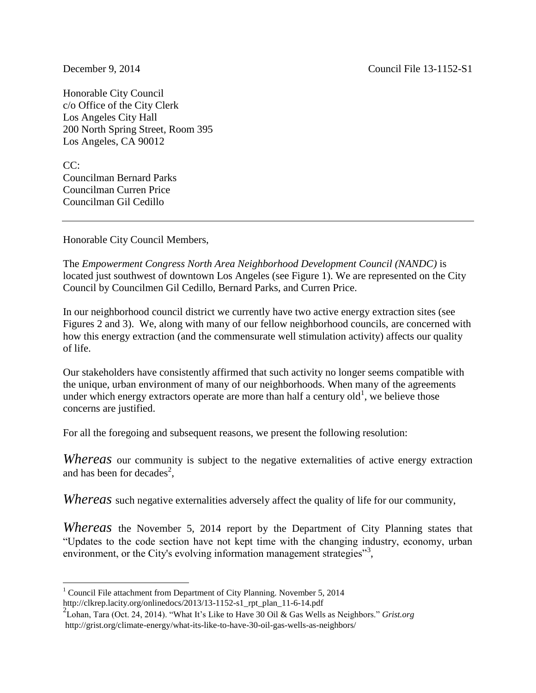December 9, 2014 Council File 13-1152-S1

Honorable City Council c/o Office of the City Clerk Los Angeles City Hall 200 North Spring Street, Room 395 Los Angeles, CA 90012

CC: Councilman Bernard Parks Councilman Curren Price Councilman Gil Cedillo

Honorable City Council Members,

The *Empowerment Congress North Area Neighborhood Development Council (NANDC)* is located just southwest of downtown Los Angeles (see Figure 1). We are represented on the City Council by Councilmen Gil Cedillo, Bernard Parks, and Curren Price.

In our neighborhood council district we currently have two active energy extraction sites (see Figures 2 and 3). We, along with many of our fellow neighborhood councils, are concerned with how this energy extraction (and the commensurate well stimulation activity) affects our quality of life.

Our stakeholders have consistently affirmed that such activity no longer seems compatible with the unique, urban environment of many of our neighborhoods. When many of the agreements under which energy extractors operate are more than half a century old<sup>1</sup>, we believe those concerns are justified.

For all the foregoing and subsequent reasons, we present the following resolution:

*Whereas* our community is subject to the negative externalities of active energy extraction and has been for decades<sup>2</sup>,

*Whereas* such negative externalities adversely affect the quality of life for our community,

*Whereas* the November 5, 2014 report by the Department of City Planning states that "Updates to the code section have not kept time with the changing industry, economy, urban environment, or the City's evolving information management strategies"<sup>3</sup>,

 $\overline{a}$ <sup>1</sup> Council File attachment from Department of City Planning. November 5, 2014 http://clkrep.lacity.org/onlinedocs/2013/13-1152-s1\_rpt\_plan\_11-6-14.pdf

<sup>2</sup> Lohan, Tara (Oct. 24, 2014). "What It's Like to Have 30 Oil & Gas Wells as Neighbors." *Grist.org* http://grist.org/climate-energy/what-its-like-to-have-30-oil-gas-wells-as-neighbors/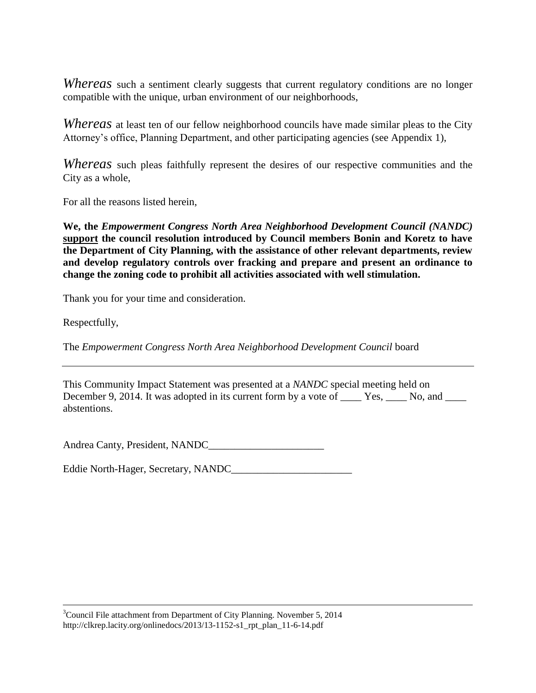*Whereas* such a sentiment clearly suggests that current regulatory conditions are no longer compatible with the unique, urban environment of our neighborhoods,

*Whereas* at least ten of our fellow neighborhood councils have made similar pleas to the City Attorney's office, Planning Department, and other participating agencies (see Appendix 1),

*Whereas* such pleas faithfully represent the desires of our respective communities and the City as a whole,

For all the reasons listed herein,

**We, the** *Empowerment Congress North Area Neighborhood Development Council (NANDC)* **support the council resolution introduced by Council members Bonin and Koretz to have the Department of City Planning, with the assistance of other relevant departments, review and develop regulatory controls over fracking and prepare and present an ordinance to change the zoning code to prohibit all activities associated with well stimulation.**

Thank you for your time and consideration.

Respectfully,

 $\overline{a}$ 

The *Empowerment Congress North Area Neighborhood Development Council* board

This Community Impact Statement was presented at a *NANDC* special meeting held on December 9, 2014. It was adopted in its current form by a vote of \_\_\_\_ Yes, \_\_\_\_ No, and \_\_\_\_ abstentions.

Andrea Canty, President, NANDC\_\_\_\_\_\_\_\_\_\_\_\_\_\_\_\_\_\_\_\_\_\_

Eddie North-Hager, Secretary, NANDC\_\_\_\_\_\_\_\_\_\_\_\_\_\_\_\_\_\_\_\_\_\_\_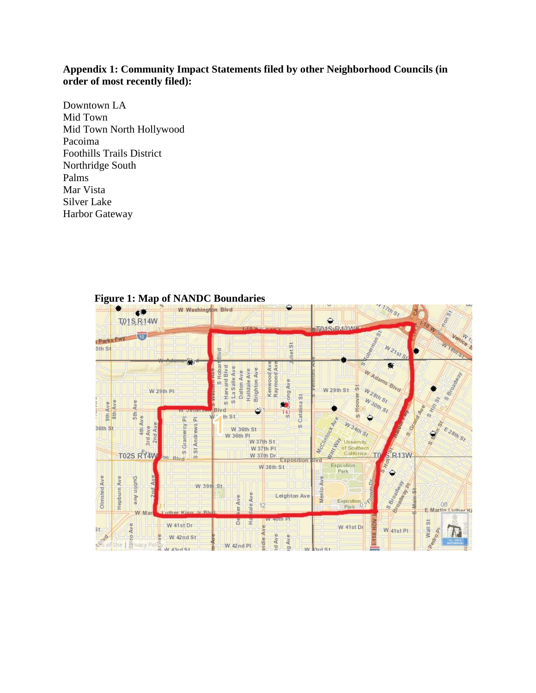## **Appendix 1: Community Impact Statements filed by other Neighborhood Councils (in order of most recently filed):**

Downtown LA Mid Town Mid Town North Hollywood Pacoima Foothills Trails District Northridge South Palms Mar Vista Silver Lake Harbor Gateway